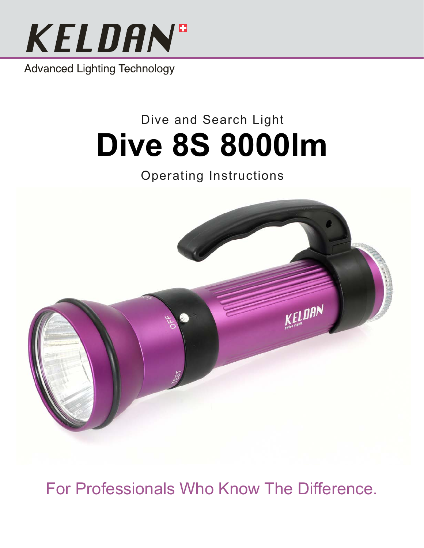

**Advanced Lighting Technology** 

# Dive and Search Light **Dive 8S 8000lm**

# Operating Instructions



For Professionals Who Know The Difference.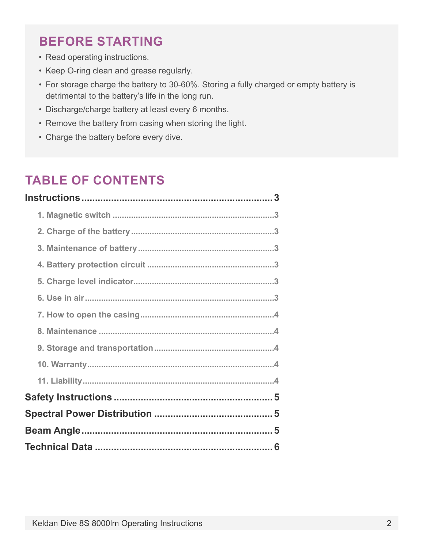## **Before Starting**

- Read operating instructions.
- Keep O-ring clean and grease regularly.
- For storage charge the battery to 30-60%. Storing a fully charged or empty battery is detrimental to the battery's life in the long run.
- • Discharge/charge battery at least every 6 months.
- Remove the battery from casing when storing the light.
- Charge the battery before every dive.

## **TABLE OF CONTENTS**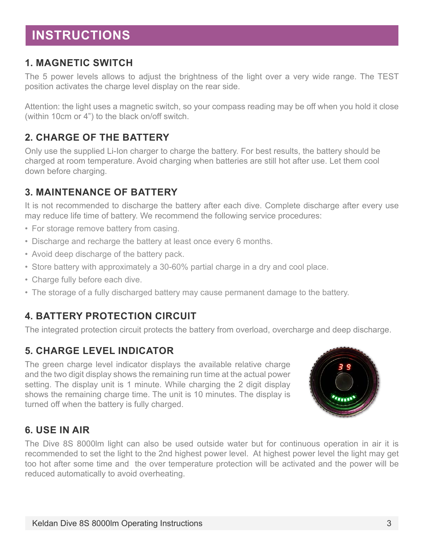## <span id="page-2-0"></span>**Instructions**

#### **1. Magnetic switch**

The 5 power levels allows to adjust the brightness of the light over a very wide range. The TEST position activates the charge level display on the rear side.

Attention: the light uses a magnetic switch, so your compass reading may be off when you hold it close (within 10cm or 4") to the black on/off switch.

#### **2. Charge of the battery**

Only use the supplied Li-Ion charger to charge the battery. For best results, the battery should be charged at room temperature. Avoid charging when batteries are still hot after use. Let them cool down before charging.

#### **3. Maintenance of battery**

It is not recommended to discharge the battery after each dive. Complete discharge after every use may reduce life time of battery. We recommend the following service procedures:

- For storage remove battery from casing.
- Discharge and recharge the battery at least once every 6 months.
- Avoid deep discharge of the battery pack.
- Store battery with approximately a 30-60% partial charge in a dry and cool place.
- Charge fully before each dive.
- The storage of a fully discharged battery may cause permanent damage to the battery.

#### **4. Battery protection circuit**

The integrated protection circuit protects the battery from overload, overcharge and deep discharge.

#### **5. Charge level indicator**

The green charge level indicator displays the available relative charge and the two digit display shows the remaining run time at the actual power setting. The display unit is 1 minute. While charging the 2 digit display shows the remaining charge time. The unit is 10 minutes. The display is turned off when the battery is fully charged.



#### **6. Use in air**

The Dive 8S 8000lm light can also be used outside water but for continuous operation in air it is recommended to set the light to the 2nd highest power level. At highest power level the light may get too hot after some time and the over temperature protection will be activated and the power will be reduced automatically to avoid overheating.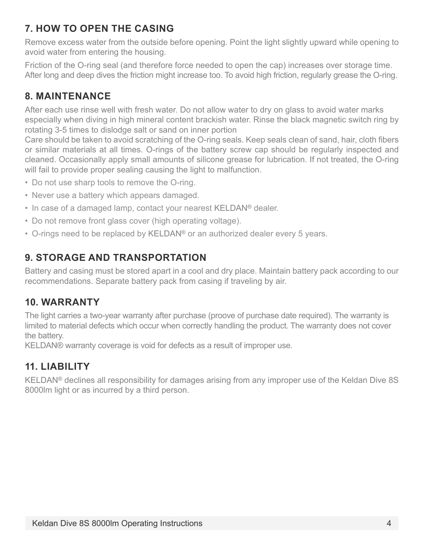#### <span id="page-3-0"></span>**7. How to open the casing**

Remove excess water from the outside before opening. Point the light slightly upward while opening to avoid water from entering the housing.

Friction of the O-ring seal (and therefore force needed to open the cap) increases over storage time. After long and deep dives the friction might increase too. To avoid high friction, regularly grease the O-ring.

#### **8. Maintenance**

After each use rinse well with fresh water. Do not allow water to dry on glass to avoid water marks especially when diving in high mineral content brackish water. Rinse the black magnetic switch ring by rotating 3-5 times to dislodge salt or sand on inner portion

Care should be taken to avoid scratching of the O-ring seals. Keep seals clean of sand, hair, cloth fibers or similar materials at all times. O-rings of the battery screw cap should be regularly inspected and cleaned. Occasionally apply small amounts of silicone grease for lubrication. If not treated, the O-ring will fail to provide proper sealing causing the light to malfunction.

- Do not use sharp tools to remove the O-ring.
- Never use a battery which appears damaged.
- In case of a damaged lamp, contact your nearest KELDAN® dealer.
- Do not remove front glass cover (high operating voltage).
- O-rings need to be replaced by KELDAN® or an authorized dealer every 5 years.

#### **9. Storage and transportation**

Battery and casing must be stored apart in a cool and dry place. Maintain battery pack according to our recommendations. Separate battery pack from casing if traveling by air.

#### **10. Warranty**

The light carries a two-year warranty after purchase (proove of purchase date required). The warranty is limited to material defects which occur when correctly handling the product. The warranty does not cover the battery.

KELDAN® warranty coverage is void for defects as a result of improper use.

#### **11. Liability**

KELDAN® declines all responsibility for damages arising from any improper use of the Keldan Dive 8S 8000lm light or as incurred by a third person.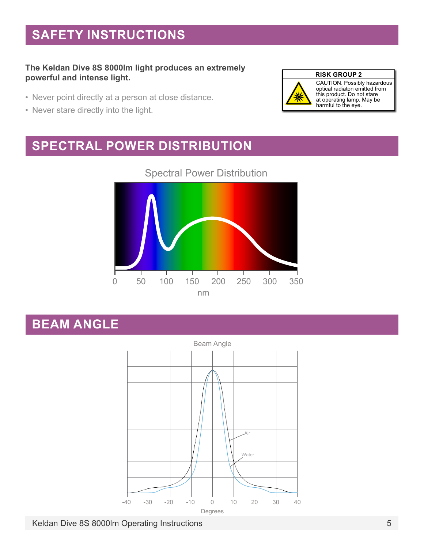## <span id="page-4-0"></span>**Safety Instructions**

#### **The Keldan Dive 8S 8000lm light produces an extremely powerful and intense light.**

- Never point directly at a person at close distance.
- Never stare directly into the light.



CAUTION. Possibly hazardous optical radiaton emitted from this product. Do not stare at operating lamp. May be harmful to the eye.

## **Spectral Power Distribution**



#### Spectral Power Distribution

### **Beam Angle**



Keldan Dive 8S 8000lm Operating Instructions 5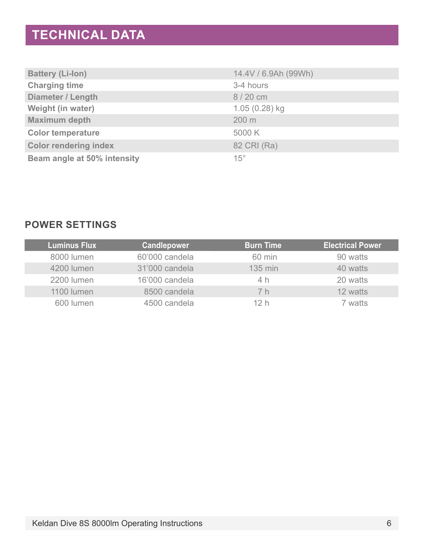## <span id="page-5-0"></span>**Technical Data**

| <b>Battery (Li-lon)</b>      | 14.4V / 6.9Ah (99Wh) |
|------------------------------|----------------------|
| <b>Charging time</b>         | 3-4 hours            |
| Diameter / Length            | 8 / 20 cm            |
| Weight (in water)            | $1.05(0.28)$ kg      |
| <b>Maximum depth</b>         | 200 m                |
| <b>Color temperature</b>     | 5000 K               |
| <b>Color rendering index</b> | 82 CRI (Ra)          |
| Beam angle at 50% intensity  | $15^\circ$           |

#### **POWER SETTINGS**

| <b>Luminus Flux</b> | <b>Candlepower</b> | <b>Burn Time</b> | <b>Electrical Power</b> |
|---------------------|--------------------|------------------|-------------------------|
| 8000 lumen          | 60'000 candela     | 60 min           | 90 watts                |
| 4200 lumen          | 31'000 candela     | 135 min          | 40 watts                |
| <b>2200 lumen</b>   | 16'000 candela     | 4 h              | 20 watts                |
| 1100 lumen          | 8500 candela       | 7 h              | 12 watts                |
| 600 lumen           | 4500 candela       | 12 h             | 7 watts                 |